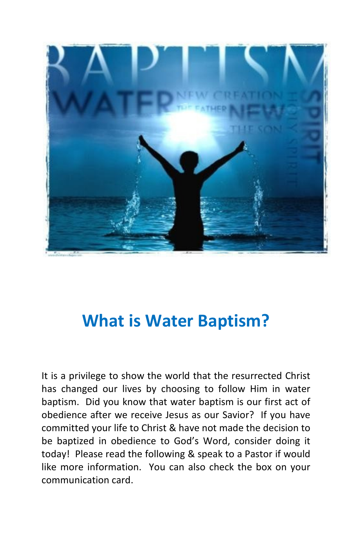

# What is Water Baptism?

It is a privilege to show the world that the resurrected Christ has changed our lives by choosing to follow Him in water baptism. Did you know that water baptism is our first act of obedience after we receive Jesus as our Savior? If you have committed your life to Christ & have not made the decision to be baptized in obedience to God's Word, consider doing it today! Please read the following & speak to a Pastor if would like more information. You can also check the box on your communication card.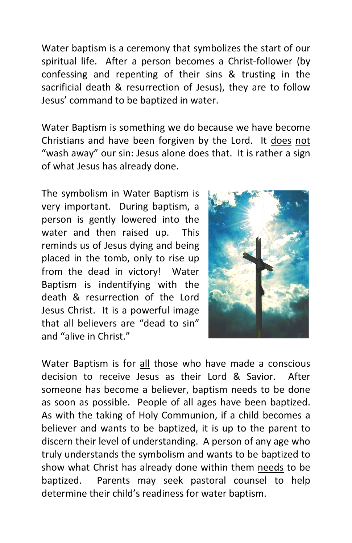Water baptism is a ceremony that symbolizes the start of our spiritual life. After a person becomes a Christ-follower (by confessing and repenting of their sins & trusting in the sacrificial death & resurrection of Jesus), they are to follow Jesus' command to be baptized in water. follower (by<br>sting in the<br>re to follow<br>ave become<br>It <u>does not</u>

Water Baptism is something we do because we have become Christians and have been forgiven by the Lord. It does not "wash away" our sin: Jesus alone does that. It is rather a sign of what Jesus has already done.

The symbolism in Water Baptism is very important. During baptism, a person is gently lowered into the water and then raised up. This reminds us of Jesus dying and being placed in the tomb, only to rise up from the dead in victory! Water Baptism is indentifying with the death & resurrection of the Lord Jesus Christ. It is a powerful image that all believers are "dead to sin" and "alive in Christ."



Water Baptism is for all those who have made a conscious decision to receive Jesus as their Lord & Savior. After someone has become a believer, baptism needs to be done as soon as possible. People of all ages have been baptized. As with the taking of Holy Communion, if a child becomes a believer and wants to be baptized, it is up to the parent to discern their level of understanding. A person of any age who truly understands the symbolism and wants to be baptized to show what Christ has already done within them needs to be baptized. Parents may seek pastoral counsel to help determine their child's readiness for water baptism. l of understanding. A person of any age who<br>s the symbolism and wants to be baptized to<br>t has already done within them <u>needs</u> to be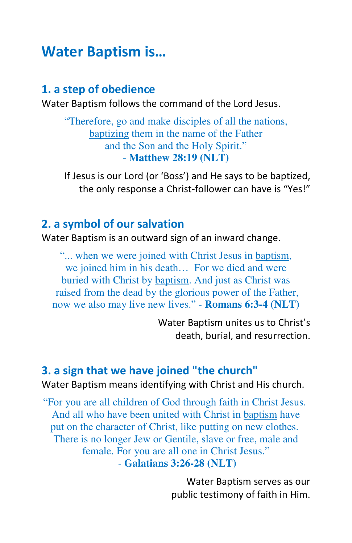## Water Baptism is…

## 1. a step of obedience

Water Baptism follows the command of the Lord Jesus.

"Therefore, go and make disciples of all the nations, baptizing them in the name of the Father and the Son and the Holy Spirit." - **Matthew 28:19 (NLT)**

If Jesus is our Lord (or 'Boss') and He says to be baptized, the only response a Christ-follower can have is "Yes!"

#### 2. a symbol of our salvation

Water Baptism is an outward sign of an inward change.

"... when we were joined with Christ Jesus in baptism, we joined him in his death… For we died and were buried with Christ by baptism. And just as Christ was raised from the dead by the glorious power of the Father, now we also may live new lives." - **Romans 6:3-4 (NLT)**

> Water Baptism unites us to Christ's death, burial, and resurrection.

#### 3. a sign that we have joined "the church"

Water Baptism means identifying with Christ and His church.

"For you are all children of God through faith in Christ Jesus. And all who have been united with Christ in baptism have put on the character of Christ, like putting on new clothes. There is no longer Jew or Gentile, slave or free, male and female. For you are all one in Christ Jesus." - **Galatians 3:26-28 (NLT)**

> Water Baptism serves as our public testimony of faith in Him.